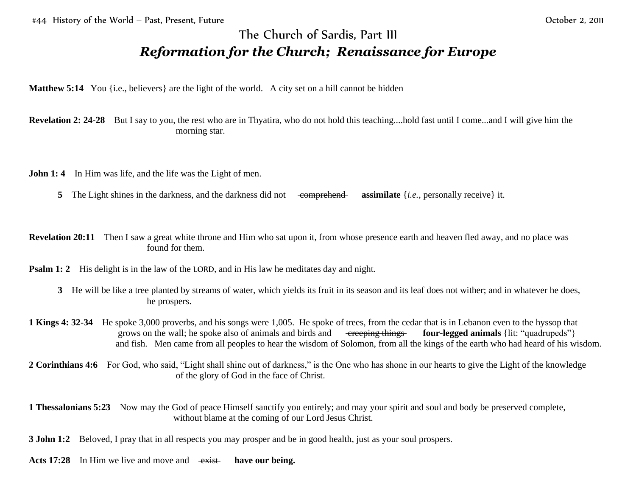## The Church of Sardis, Part III *Reformation for the Church; Renaissance for Europe*

**Matthew 5:14** You {i.e., believers} are the light of the world. A city set on a hill cannot be hidden

**Revelation 2: 24-28** But I say to you, the rest who are in Thyatira, who do not hold this teaching....hold fast until I come...and I will give him the morning star.

**John 1: 4** In Him was life, and the life was the Light of men.

**5** The Light shines in the darkness, and the darkness did not comprehend **assimilate** {*i.e.*, personally receive} it.

**Revelation 20:11** Then I saw a great white throne and Him who sat upon it, from whose presence earth and heaven fled away, and no place was found for them.

**Psalm 1:** 2 His delight is in the law of the LORD, and in His law he meditates day and night.

- **3** He will be like a tree planted by streams of water, which yields its fruit in its season and its leaf does not wither; and in whatever he does, he prospers.
- **1 Kings 4: 32-34** He spoke 3,000 proverbs, and his songs were 1,005. He spoke of trees, from the cedar that is in Lebanon even to the hyssop that grows on the wall; he spoke also of animals and birds and creeping things **four-legged animals** {lit: "quadrupeds"} and fish. Men came from all peoples to hear the wisdom of Solomon, from all the kings of the earth who had heard of his wisdom.
- **2 Corinthians 4:6** For God, who said, "Light shall shine out of darkness," is the One who has shone in our hearts to give the Light of the knowledge of the glory of God in the face of Christ.

**1 Thessalonians 5:23** Now may the God of peace Himself sanctify you entirely; and may your spirit and soul and body be preserved complete, without blame at the coming of our Lord Jesus Christ.

**3 John 1:2** Beloved, I pray that in all respects you may prosper and be in good health, just as your soul prospers.

Acts 17:28 In Him we live and move and exist have our being.